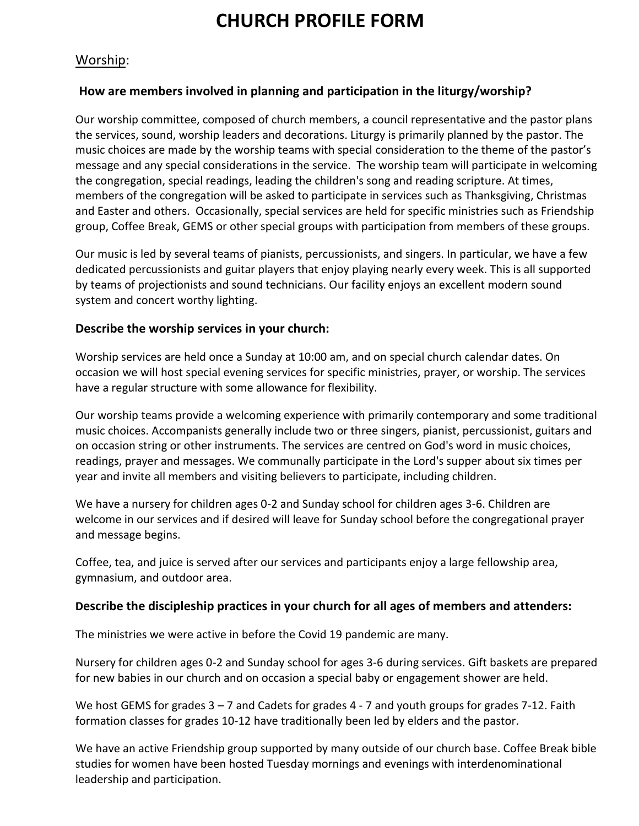# **CHURCH PROFILE FORM**

## Worship:

#### **How are members involved in planning and participation in the liturgy/worship?**

Our worship committee, composed of church members, a council representative and the pastor plans the services, sound, worship leaders and decorations. Liturgy is primarily planned by the pastor. The music choices are made by the worship teams with special consideration to the theme of the pastor's message and any special considerations in the service. The worship team will participate in welcoming the congregation, special readings, leading the children's song and reading scripture. At times, members of the congregation will be asked to participate in services such as Thanksgiving, Christmas and Easter and others. Occasionally, special services are held for specific ministries such as Friendship group, Coffee Break, GEMS or other special groups with participation from members of these groups.

Our music is led by several teams of pianists, percussionists, and singers. In particular, we have a few dedicated percussionists and guitar players that enjoy playing nearly every week. This is all supported by teams of projectionists and sound technicians. Our facility enjoys an excellent modern sound system and concert worthy lighting.

#### **Describe the worship services in your church:**

Worship services are held once a Sunday at 10:00 am, and on special church calendar dates. On occasion we will host special evening services for specific ministries, prayer, or worship. The services have a regular structure with some allowance for flexibility.

Our worship teams provide a welcoming experience with primarily contemporary and some traditional music choices. Accompanists generally include two or three singers, pianist, percussionist, guitars and on occasion string or other instruments. The services are centred on God's word in music choices, readings, prayer and messages. We communally participate in the Lord's supper about six times per year and invite all members and visiting believers to participate, including children.

We have a nursery for children ages 0-2 and Sunday school for children ages 3-6. Children are welcome in our services and if desired will leave for Sunday school before the congregational prayer and message begins.

Coffee, tea, and juice is served after our services and participants enjoy a large fellowship area, gymnasium, and outdoor area.

#### **Describe the discipleship practices in your church for all ages of members and attenders:**

The ministries we were active in before the Covid 19 pandemic are many.

Nursery for children ages 0-2 and Sunday school for ages 3-6 during services. Gift baskets are prepared for new babies in our church and on occasion a special baby or engagement shower are held.

We host GEMS for grades  $3 - 7$  and Cadets for grades 4 - 7 and youth groups for grades 7-12. Faith formation classes for grades 10-12 have traditionally been led by elders and the pastor.

We have an active Friendship group supported by many outside of our church base. Coffee Break bible studies for women have been hosted Tuesday mornings and evenings with interdenominational leadership and participation.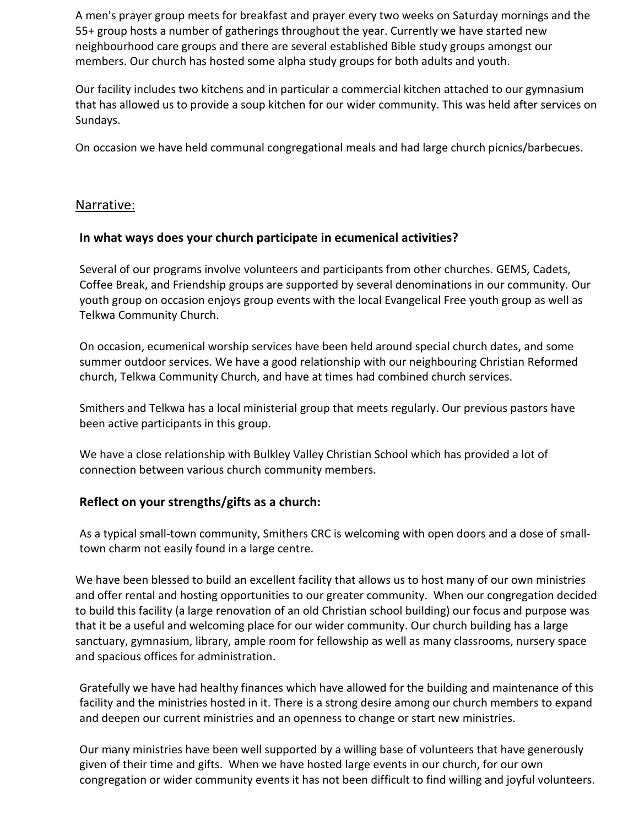A men's prayer group meets for breakfast and prayer every two weeks on Saturday mornings and the 55+ group hosts a number of gatherings throughout the year. Currently we have started new neighbourhood care groups and there are several established Bible study groups amongst our members. Our church has hosted some alpha study groups for both adults and youth.

Our facility includes two kitchens and in particular a commercial kitchen attached to our gymnasium that has allowed us to provide a soup kitchen for our wider community. This was held after services on Sundays.

On occasion we have held communal congregational meals and had large church picnics/barbecues.

## Narrative:

#### **In what ways does your church participate in ecumenical activities?**

Several of our programs involve volunteers and participants from other churches. GEMS, Cadets, Coffee Break, and Friendship groups are supported by several denominations in our community. Our youth group on occasion enjoys group events with the local Evangelical Free youth group as well as Telkwa Community Church.

On occasion, ecumenical worship services have been held around special church dates, and some summer outdoor services. We have a good relationship with our neighbouring Christian Reformed church, Telkwa Community Church, and have at times had combined church services.

Smithers and Telkwa has a local ministerial group that meets regularly. Our previous pastors have been active participants in this group.

We have a close relationship with Bulkley Valley Christian School which has provided a lot of connection between various church community members.

#### **Reflect on your strengths/gifts as a church:**

As a typical small-town community, Smithers CRC is welcoming with open doors and a dose of smalltown charm not easily found in a large centre.

We have been blessed to build an excellent facility that allows us to host many of our own ministries and offer rental and hosting opportunities to our greater community. When our congregation decided to build this facility (a large renovation of an old Christian school building) our focus and purpose was that it be a useful and welcoming place for our wider community. Our church building has a large sanctuary, gymnasium, library, ample room for fellowship as well as many classrooms, nursery space and spacious offices for administration.

Gratefully we have had healthy finances which have allowed for the building and maintenance of this facility and the ministries hosted in it. There is a strong desire among our church members to expand and deepen our current ministries and an openness to change or start new ministries.

Our many ministries have been well supported by a willing base of volunteers that have generously given of their time and gifts. When we have hosted large events in our church, for our own congregation or wider community events it has not been difficult to find willing and joyful volunteers.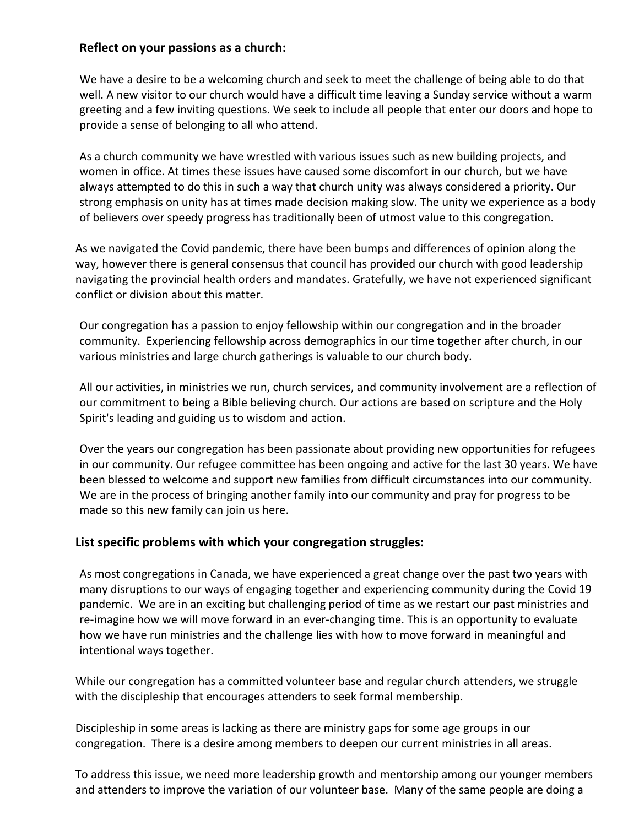#### **Reflect on your passions as a church:**

We have a desire to be a welcoming church and seek to meet the challenge of being able to do that well. A new visitor to our church would have a difficult time leaving a Sunday service without a warm greeting and a few inviting questions. We seek to include all people that enter our doors and hope to provide a sense of belonging to all who attend.

As a church community we have wrestled with various issues such as new building projects, and women in office. At times these issues have caused some discomfort in our church, but we have always attempted to do this in such a way that church unity was always considered a priority. Our strong emphasis on unity has at times made decision making slow. The unity we experience as a body of believers over speedy progress has traditionally been of utmost value to this congregation.

As we navigated the Covid pandemic, there have been bumps and differences of opinion along the way, however there is general consensus that council has provided our church with good leadership navigating the provincial health orders and mandates. Gratefully, we have not experienced significant conflict or division about this matter.

Our congregation has a passion to enjoy fellowship within our congregation and in the broader community. Experiencing fellowship across demographics in our time together after church, in our various ministries and large church gatherings is valuable to our church body.

All our activities, in ministries we run, church services, and community involvement are a reflection of our commitment to being a Bible believing church. Our actions are based on scripture and the Holy Spirit's leading and guiding us to wisdom and action.

Over the years our congregation has been passionate about providing new opportunities for refugees in our community. Our refugee committee has been ongoing and active for the last 30 years. We have been blessed to welcome and support new families from difficult circumstances into our community. We are in the process of bringing another family into our community and pray for progress to be made so this new family can join us here.

#### **List specific problems with which your congregation struggles:**

As most congregations in Canada, we have experienced a great change over the past two years with many disruptions to our ways of engaging together and experiencing community during the Covid 19 pandemic. We are in an exciting but challenging period of time as we restart our past ministries and re-imagine how we will move forward in an ever-changing time. This is an opportunity to evaluate how we have run ministries and the challenge lies with how to move forward in meaningful and intentional ways together.

While our congregation has a committed volunteer base and regular church attenders, we struggle with the discipleship that encourages attenders to seek formal membership.

Discipleship in some areas is lacking as there are ministry gaps for some age groups in our congregation. There is a desire among members to deepen our current ministries in all areas.

To address this issue, we need more leadership growth and mentorship among our younger members and attenders to improve the variation of our volunteer base. Many of the same people are doing a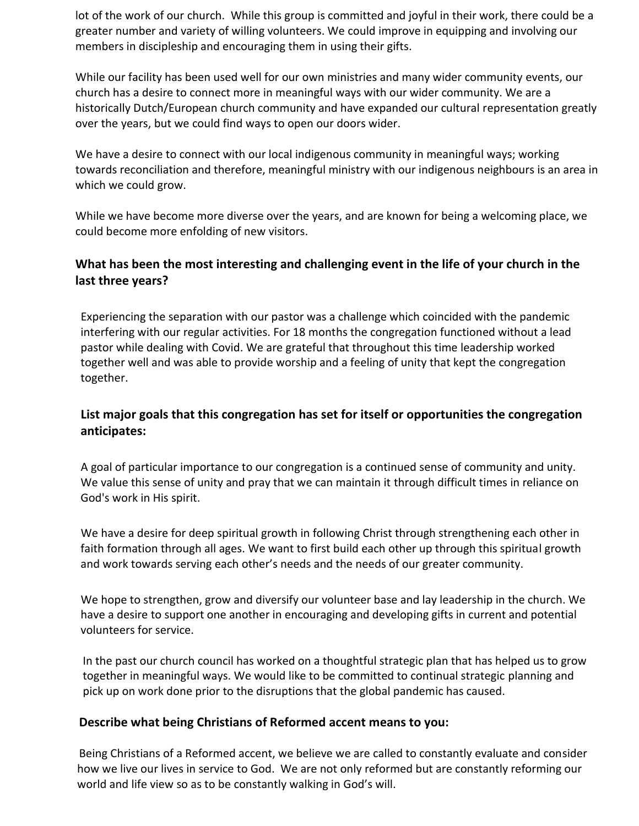lot of the work of our church. While this group is committed and joyful in their work, there could be a greater number and variety of willing volunteers. We could improve in equipping and involving our members in discipleship and encouraging them in using their gifts.

While our facility has been used well for our own ministries and many wider community events, our church has a desire to connect more in meaningful ways with our wider community. We are a historically Dutch/European church community and have expanded our cultural representation greatly over the years, but we could find ways to open our doors wider.

We have a desire to connect with our local indigenous community in meaningful ways; working towards reconciliation and therefore, meaningful ministry with our indigenous neighbours is an area in which we could grow.

While we have become more diverse over the years, and are known for being a welcoming place, we could become more enfolding of new visitors.

# **What has been the most interesting and challenging event in the life of your church in the last three years?**

Experiencing the separation with our pastor was a challenge which coincided with the pandemic interfering with our regular activities. For 18 months the congregation functioned without a lead pastor while dealing with Covid. We are grateful that throughout this time leadership worked together well and was able to provide worship and a feeling of unity that kept the congregation together.

## **List major goals that this congregation has set for itself or opportunities the congregation anticipates:**

A goal of particular importance to our congregation is a continued sense of community and unity. We value this sense of unity and pray that we can maintain it through difficult times in reliance on God's work in His spirit.

We have a desire for deep spiritual growth in following Christ through strengthening each other in faith formation through all ages. We want to first build each other up through this spiritual growth and work towards serving each other's needs and the needs of our greater community.

We hope to strengthen, grow and diversify our volunteer base and lay leadership in the church. We have a desire to support one another in encouraging and developing gifts in current and potential volunteers for service.

In the past our church council has worked on a thoughtful strategic plan that has helped us to grow together in meaningful ways. We would like to be committed to continual strategic planning and pick up on work done prior to the disruptions that the global pandemic has caused.

#### **Describe what being Christians of Reformed accent means to you:**

Being Christians of a Reformed accent, we believe we are called to constantly evaluate and consider how we live our lives in service to God. We are not only reformed but are constantly reforming our world and life view so as to be constantly walking in God's will.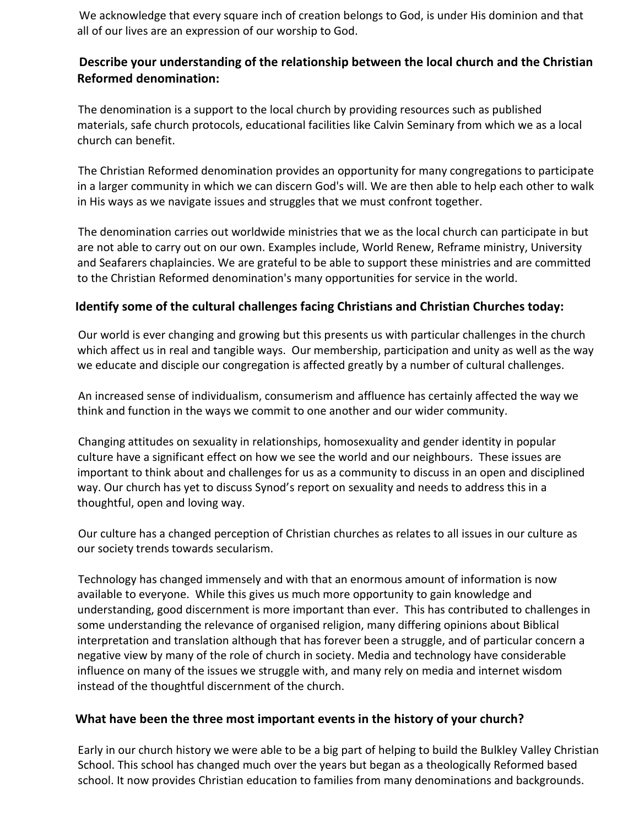We acknowledge that every square inch of creation belongs to God, is under His dominion and that all of our lives are an expression of our worship to God.

## **Describe your understanding of the relationship between the local church and the Christian Reformed denomination:**

The denomination is a support to the local church by providing resources such as published materials, safe church protocols, educational facilities like Calvin Seminary from which we as a local church can benefit.

The Christian Reformed denomination provides an opportunity for many congregations to participate in a larger community in which we can discern God's will. We are then able to help each other to walk in His ways as we navigate issues and struggles that we must confront together.

The denomination carries out worldwide ministries that we as the local church can participate in but are not able to carry out on our own. Examples include, World Renew, Reframe ministry, University and Seafarers chaplaincies. We are grateful to be able to support these ministries and are committed to the Christian Reformed denomination's many opportunities for service in the world.

## **Identify some of the cultural challenges facing Christians and Christian Churches today:**

Our world is ever changing and growing but this presents us with particular challenges in the church which affect us in real and tangible ways. Our membership, participation and unity as well as the way we educate and disciple our congregation is affected greatly by a number of cultural challenges.

An increased sense of individualism, consumerism and affluence has certainly affected the way we think and function in the ways we commit to one another and our wider community.

Changing attitudes on sexuality in relationships, homosexuality and gender identity in popular culture have a significant effect on how we see the world and our neighbours. These issues are important to think about and challenges for us as a community to discuss in an open and disciplined way. Our church has yet to discuss Synod's report on sexuality and needs to address this in a thoughtful, open and loving way.

Our culture has a changed perception of Christian churches as relates to all issues in our culture as our society trends towards secularism.

Technology has changed immensely and with that an enormous amount of information is now available to everyone. While this gives us much more opportunity to gain knowledge and understanding, good discernment is more important than ever. This has contributed to challenges in some understanding the relevance of organised religion, many differing opinions about Biblical interpretation and translation although that has forever been a struggle, and of particular concern a negative view by many of the role of church in society. Media and technology have considerable influence on many of the issues we struggle with, and many rely on media and internet wisdom instead of the thoughtful discernment of the church.

#### **What have been the three most important events in the history of your church?**

Early in our church history we were able to be a big part of helping to build the Bulkley Valley Christian School. This school has changed much over the years but began as a theologically Reformed based school. It now provides Christian education to families from many denominations and backgrounds.